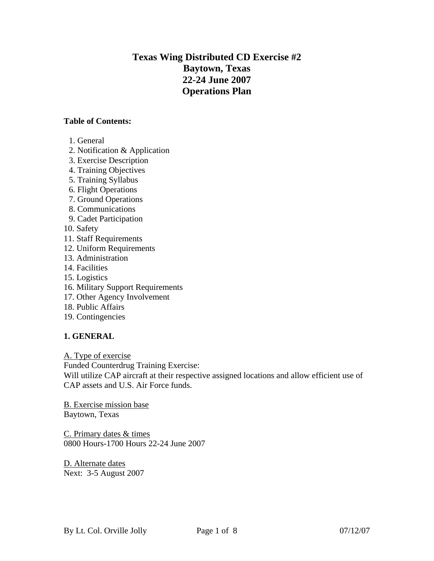# **Texas Wing Distributed CD Exercise #2 Baytown, Texas 22-24 June 2007 Operations Plan**

#### **Table of Contents:**

- 1. General
- 2. Notification & Application
- 3. Exercise Description
- 4. Training Objectives
- 5. Training Syllabus
- 6. Flight Operations
- 7. Ground Operations
- 8. Communications
- 9. Cadet Participation
- 10. Safety
- 11. Staff Requirements
- 12. Uniform Requirements
- 13. Administration
- 14. Facilities
- 15. Logistics
- 16. Military Support Requirements
- 17. Other Agency Involvement
- 18. Public Affairs
- 19. Contingencies

# **1. GENERAL**

A. Type of exercise

Funded Counterdrug Training Exercise:

Will utilize CAP aircraft at their respective assigned locations and allow efficient use of CAP assets and U.S. Air Force funds.

B. Exercise mission base Baytown, Texas

C. Primary dates & times 0800 Hours-1700 Hours 22-24 June 2007

D. Alternate dates Next: 3-5 August 2007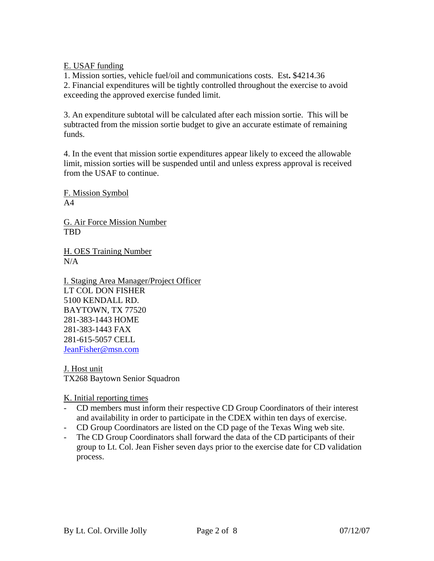E. USAF funding

1. Mission sorties, vehicle fuel/oil and communications costs. Est**.** \$4214.36 2. Financial expenditures will be tightly controlled throughout the exercise to avoid

exceeding the approved exercise funded limit.

3. An expenditure subtotal will be calculated after each mission sortie. This will be subtracted from the mission sortie budget to give an accurate estimate of remaining funds.

4. In the event that mission sortie expenditures appear likely to exceed the allowable limit, mission sorties will be suspended until and unless express approval is received from the USAF to continue.

F. Mission Symbol  $A<sub>4</sub>$ 

G. Air Force Mission Number TBD

H. OES Training Number  $N/A$ 

I. Staging Area Manager/Project Officer LT COL DON FISHER 5100 KENDALL RD. BAYTOWN, TX 77520 [281-383-1443 HOME](mailto:lcthom@juno.com)  [281-383-1443 FAX](mailto:lcthom@juno.com)  [281-615-5057 CELL](mailto:lcthom@juno.com)  [JeanFisher@msn.com](mailto:lcthom@juno.com)

J. Host unit TX268 Baytown Senior Squadron

K. Initial reporting times

- CD members must inform their respective CD Group Coordinators of their interest and availability in order to participate in the CDEX within ten days of exercise.
- CD Group Coordinators are listed on the CD page of the Texas Wing web site.
- The CD Group Coordinators shall forward the data of the CD participants of their group to Lt. Col. Jean Fisher seven days prior to the exercise date for CD validation process.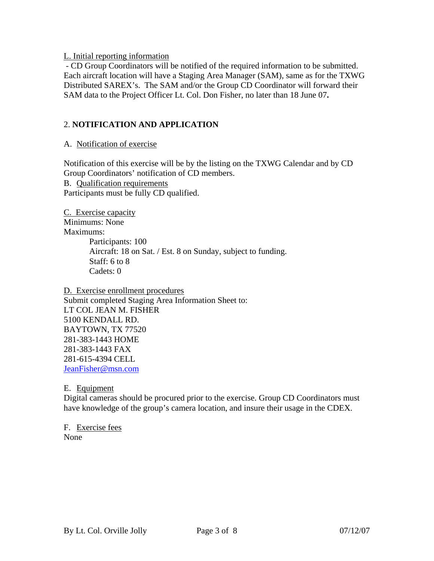L. Initial reporting information

 - CD Group Coordinators will be notified of the required information to be submitted. Each aircraft location will have a Staging Area Manager (SAM), same as for the TXWG Distributed SAREX's. The SAM and/or the Group CD Coordinator will forward their SAM data to the Project Officer Lt. Col. Don Fisher, no later than 18 June 07**.** 

# 2. **NOTIFICATION AND APPLICATION**

A. Notification of exercise

Notification of this exercise will be by the listing on the TXWG Calendar and by CD Group Coordinators' notification of CD members. B. Qualification requirements Participants must be fully CD qualified.

C. Exercise capacity Minimums: None Maximums: Participants: 100 Aircraft: 18 on Sat. / Est. 8 on Sunday, subject to funding. Staff: 6 to 8 Cadets: 0

D. Exercise enrollment procedures Submit completed Staging Area Information Sheet to: [LT COL JEAN M. FISHER](mailto:lcthom@juno.com)  [5100 KENDALL RD.](mailto:lcthom@juno.com)  [BAYTOWN, TX 77520](mailto:lcthom@juno.com)  [281-383-1443 HOME](mailto:lcthom@juno.com)  [281-383-1443 FAX](mailto:lcthom@juno.com)  [281-615-4394 CELL](mailto:lcthom@juno.com)  [JeanFisher@msn.com](mailto:lcthom@juno.com)

E. Equipment

Digital cameras should be procured prior to the exercise. Group CD Coordinators must have knowledge of the group's camera location, and insure their usage in the CDEX.

F. Exercise fees None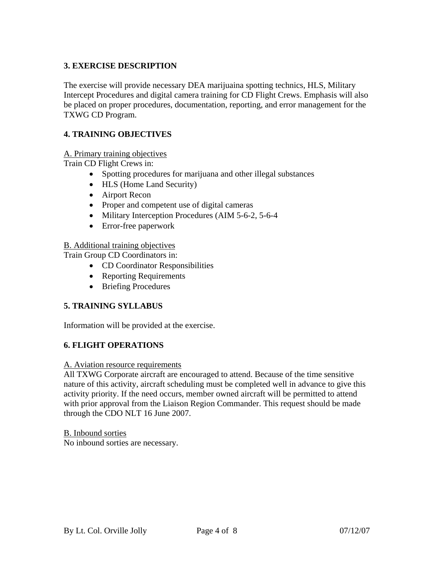# **3. EXERCISE DESCRIPTION**

The exercise will provide necessary DEA marijuaina spotting technics, HLS, Military Intercept Procedures and digital camera training for CD Flight Crews. Emphasis will also be placed on proper procedures, documentation, reporting, and error management for the TXWG CD Program.

# **4. TRAINING OBJECTIVES**

#### A. Primary training objectives

Train CD Flight Crews in:

- Spotting procedures for marijuana and other illegal substances
- HLS (Home Land Security)
- Airport Recon
- Proper and competent use of digital cameras
- Military Interception Procedures (AIM 5-6-2, 5-6-4)
- Error-free paperwork

#### B. Additional training objectives

Train Group CD Coordinators in:

- CD Coordinator Responsibilities
- Reporting Requirements
- Briefing Procedures

# **5. TRAINING SYLLABUS**

Information will be provided at the exercise.

#### **6. FLIGHT OPERATIONS**

#### A. Aviation resource requirements

All TXWG Corporate aircraft are encouraged to attend. Because of the time sensitive nature of this activity, aircraft scheduling must be completed well in advance to give this activity priority. If the need occurs, member owned aircraft will be permitted to attend with prior approval from the Liaison Region Commander. This request should be made through the CDO NLT 16 June 2007.

B. Inbound sorties No inbound sorties are necessary.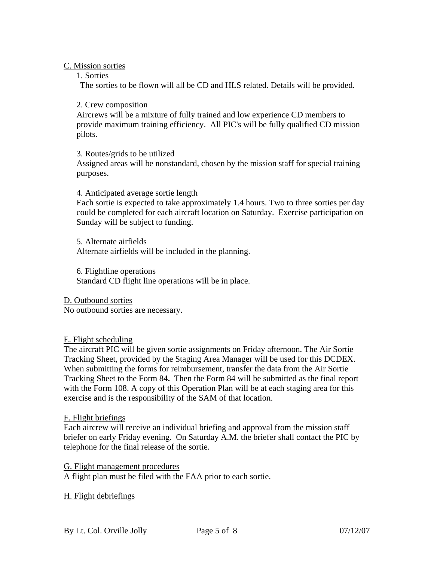C. Mission sorties

1. Sorties

The sorties to be flown will all be CD and HLS related. Details will be provided.

2. Crew composition

Aircrews will be a mixture of fully trained and low experience CD members to provide maximum training efficiency. All PIC's will be fully qualified CD mission pilots.

3. Routes/grids to be utilized

Assigned areas will be nonstandard, chosen by the mission staff for special training purposes.

4. Anticipated average sortie length

Each sortie is expected to take approximately 1.4 hours. Two to three sorties per day could be completed for each aircraft location on Saturday. Exercise participation on Sunday will be subject to funding.

5. Alternate airfields Alternate airfields will be included in the planning.

6. Flightline operations Standard CD flight line operations will be in place.

D. Outbound sorties No outbound sorties are necessary.

#### E. Flight scheduling

The aircraft PIC will be given sortie assignments on Friday afternoon. The Air Sortie Tracking Sheet, provided by the Staging Area Manager will be used for this DCDEX. When submitting the forms for reimbursement, transfer the data from the Air Sortie Tracking Sheet to the Form 84**.** Then the Form 84 will be submitted as the final report with the Form 108. A copy of this Operation Plan will be at each staging area for this exercise and is the responsibility of the SAM of that location.

#### F. Flight briefings

Each aircrew will receive an individual briefing and approval from the mission staff briefer on early Friday evening. On Saturday A.M. the briefer shall contact the PIC by telephone for the final release of the sortie.

G. Flight management procedures

A flight plan must be filed with the FAA prior to each sortie.

#### H. Flight debriefings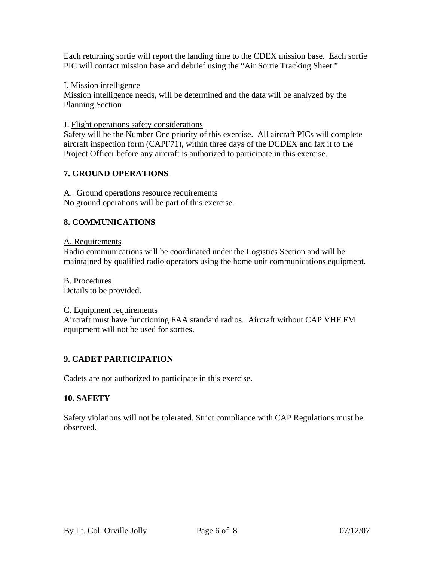Each returning sortie will report the landing time to the CDEX mission base. Each sortie PIC will contact mission base and debrief using the "Air Sortie Tracking Sheet."

#### I. Mission intelligence

Mission intelligence needs, will be determined and the data will be analyzed by the Planning Section

#### J. Flight operations safety considerations

Safety will be the Number One priority of this exercise. All aircraft PICs will complete aircraft inspection form (CAPF71), within three days of the DCDEX and fax it to the Project Officer before any aircraft is authorized to participate in this exercise.

# **7. GROUND OPERATIONS**

A. Ground operations resource requirements No ground operations will be part of this exercise.

# **8. COMMUNICATIONS**

#### A. Requirements

Radio communications will be coordinated under the Logistics Section and will be maintained by qualified radio operators using the home unit communications equipment.

B. Procedures Details to be provided.

#### C. Equipment requirements

Aircraft must have functioning FAA standard radios. Aircraft without CAP VHF FM equipment will not be used for sorties.

# **9. CADET PARTICIPATION**

Cadets are not authorized to participate in this exercise.

#### **10. SAFETY**

Safety violations will not be tolerated. Strict compliance with CAP Regulations must be observed.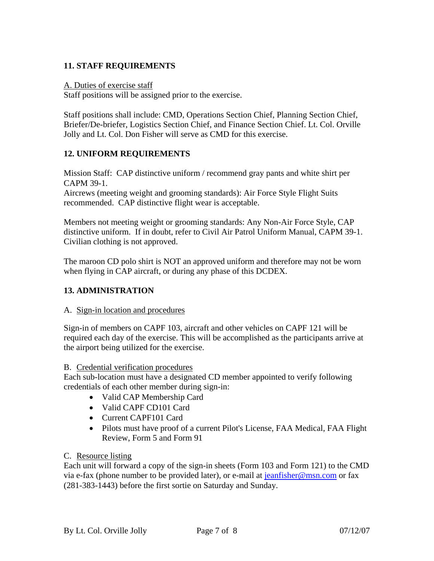# **11. STAFF REQUIREMENTS**

#### A. Duties of exercise staff

Staff positions will be assigned prior to the exercise.

Staff positions shall include: CMD, Operations Section Chief, Planning Section Chief, Briefer/De-briefer, Logistics Section Chief, and Finance Section Chief. Lt. Col. Orville Jolly and Lt. Col. Don Fisher will serve as CMD for this exercise.

# **12. UNIFORM REQUIREMENTS**

Mission Staff: CAP distinctive uniform / recommend gray pants and white shirt per CAPM 39-1.

Aircrews (meeting weight and grooming standards): Air Force Style Flight Suits recommended. CAP distinctive flight wear is acceptable.

Members not meeting weight or grooming standards: Any Non-Air Force Style, CAP distinctive uniform. If in doubt, refer to Civil Air Patrol Uniform Manual, CAPM 39-1. Civilian clothing is not approved.

The maroon CD polo shirt is NOT an approved uniform and therefore may not be worn when flying in CAP aircraft, or during any phase of this DCDEX.

# **13. ADMINISTRATION**

# A. Sign-in location and procedures

Sign-in of members on CAPF 103, aircraft and other vehicles on CAPF 121 will be required each day of the exercise. This will be accomplished as the participants arrive at the airport being utilized for the exercise.

#### B. Credential verification procedures

Each sub-location must have a designated CD member appointed to verify following credentials of each other member during sign-in:

- Valid CAP Membership Card
- Valid CAPF CD101 Card
- Current CAPF101 Card
- Pilots must have proof of a current Pilot's License, FAA Medical, FAA Flight Review, Form 5 and Form 91

# C. Resource listing

Each unit will forward a copy of the sign-in sheets (Form 103 and Form 121) to the CMD via e-fax (phone number to be provided later), or e-mail at [jeanfisher@msn.com](mailto:jeanfisher@msn.com) or fax (281-383-1443) before the first sortie on Saturday and Sunday.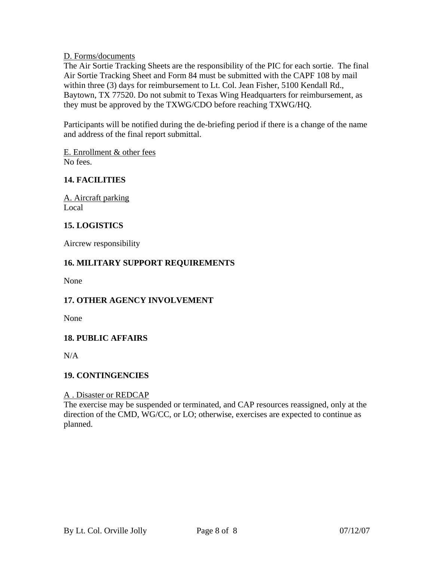D. Forms/documents

The Air Sortie Tracking Sheets are the responsibility of the PIC for each sortie. The final Air Sortie Tracking Sheet and Form 84 must be submitted with the CAPF 108 by mail within three (3) days for reimbursement to Lt. Col. Jean Fisher, 5100 Kendall Rd., Baytown, TX 77520. Do not submit to Texas Wing Headquarters for reimbursement, as they must be approved by the TXWG/CDO before reaching TXWG/HQ.

Participants will be notified during the de-briefing period if there is a change of the name and address of the final report submittal.

E. Enrollment & other fees No fees.

# **14. FACILITIES**

A. Aircraft parking Local

# **15. LOGISTICS**

Aircrew responsibility

# **16. MILITARY SUPPORT REQUIREMENTS**

None

# **17. OTHER AGENCY INVOLVEMENT**

None

# **18. PUBLIC AFFAIRS**

 $N/A$ 

# **19. CONTINGENCIES**

#### A . Disaster or REDCAP

The exercise may be suspended or terminated, and CAP resources reassigned, only at the direction of the CMD, WG/CC, or LO; otherwise, exercises are expected to continue as planned.